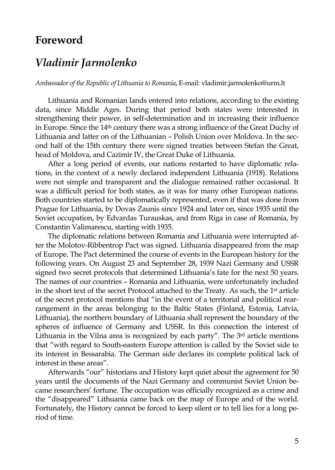## Foreword

## Vladimir Jarmolenko

Ambassador of the Republic of Emia hud a dimitro jarmondenko@urm.lt

Lithuania and Romanian lands entered into reltantions, a data, since Middle Ages. During that perion debooshed stand strengthening their poolweteer, minnasted of nand in increasion come the in Europe. Sintce  $et$  the  $14$  there was a strong influence of the  $S$ Lithuania and latter on of the Lithhuano annover In Mohneto-syen. ond half of the 15th century there wetewreeensi $\boldsymbol{\mathsf{\$} }$  the folar that is  $\boldsymbol{\mathsf{d}}$  and

head of Moldova, and Cazimir IV, the Great Duke of Lithua After a long period of events, our nations restarted to tions, in the cannewal posteclared independent Liathionsia (1 were not simple and transparent and the diadspion malrehain was a difficult period for both states, as optewas nfactioms.ny Both countries started tically driepd be massented, even if that was Prague for Lithuania, by Dovas Zaunis since 1924 and lat Soviet occupation, by Edvardas Turauskas, and from Riga Constantin Valimarescu, starting with 1935.

The diplomatic relations between Romania and Lithuani ter the MoRoboventrop Pact was signed. Lithuania disappea of Europe. The Pact determined the course ato ewelots the the following yearAsugOlsnt 23 and September 2168 and 9399 noN aUzSISCRe signed two secret protocols that determined Lithuania s f The names of our cRoum anies and Lithuania, were unfortuna in the short text of ottohes beactriant: IPerd to the Treaty analisate leave  $h$ , of the secret protocol mentions that in the eventrof a te rangement in the areas belonging to the Baltic States ( Lithuania), the northerfn Lbibhunadrairay schall repredsaenyt ot fhelhebour spheres of influence of Germany and USSR. In this connection Lithuania in the Vilna area is recognized aby icelech epnaroly is that with regard-etaps Secrupth Europhie nat secalled by the Soviet its interest in Bessarabia. Telosical Genes mitas no cosindipled te political interest in these areas .

Afterwards our historians and History kept quiet about years until the docum**elats G**fethany and communise-Soviet came researchers fortune. The occupation was officially the disappeared Lithuania came back on the map of Eu Fortunately, the History cannot beentfoorrcelood the likeleeps esfor a lo riod of time.